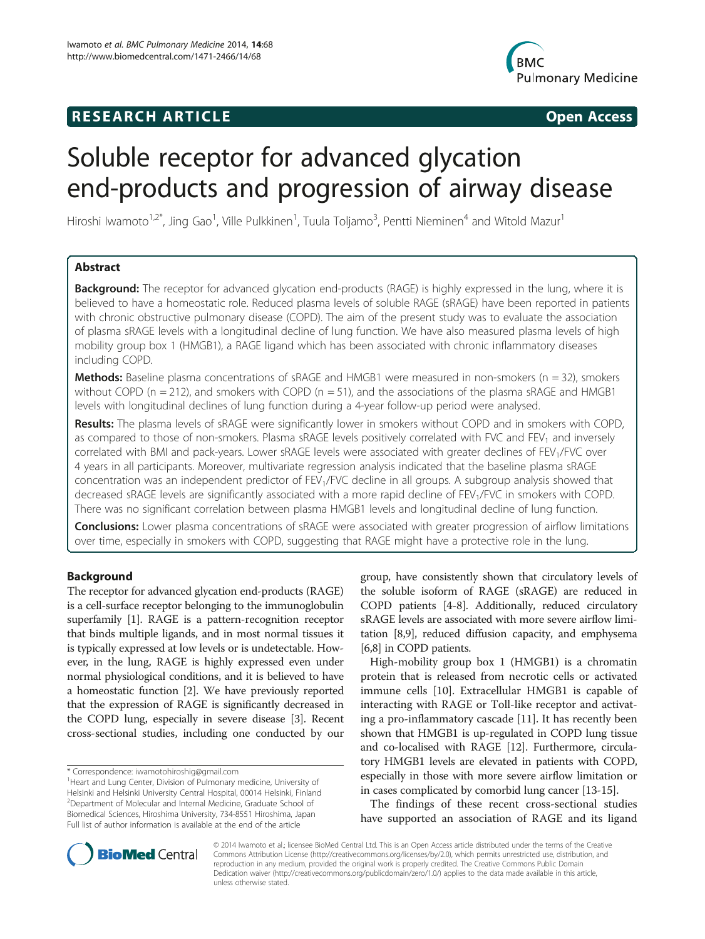## **RESEARCH ARTICLE Example 2014 CONSIDERING CONSIDERING CONSIDERING CONSIDERING CONSIDERING CONSIDERING CONSIDERING CONSIDERING CONSIDERING CONSIDERING CONSIDERING CONSIDERING CONSIDERING CONSIDERING CONSIDERING CONSIDE**



# Soluble receptor for advanced glycation end-products and progression of airway disease

Hiroshi Iwamoto<sup>1,2\*</sup>, Jing Gao<sup>1</sup>, Ville Pulkkinen<sup>1</sup>, Tuula Toljamo<sup>3</sup>, Pentti Nieminen<sup>4</sup> and Witold Mazur<sup>1</sup>

## Abstract

**Background:** The receptor for advanced glycation end-products (RAGE) is highly expressed in the lung, where it is believed to have a homeostatic role. Reduced plasma levels of soluble RAGE (sRAGE) have been reported in patients with chronic obstructive pulmonary disease (COPD). The aim of the present study was to evaluate the association of plasma sRAGE levels with a longitudinal decline of lung function. We have also measured plasma levels of high mobility group box 1 (HMGB1), a RAGE ligand which has been associated with chronic inflammatory diseases including COPD.

**Methods:** Baseline plasma concentrations of sRAGE and HMGB1 were measured in non-smokers ( $n = 32$ ), smokers without COPD (n = 212), and smokers with COPD (n = 51), and the associations of the plasma sRAGE and HMGB1 levels with longitudinal declines of lung function during a 4-year follow-up period were analysed.

Results: The plasma levels of sRAGE were significantly lower in smokers without COPD and in smokers with COPD, as compared to those of non-smokers. Plasma sRAGE levels positively correlated with FVC and FEV<sub>1</sub> and inversely correlated with BMI and pack-years. Lower sRAGE levels were associated with greater declines of FEV<sub>1</sub>/FVC over 4 years in all participants. Moreover, multivariate regression analysis indicated that the baseline plasma sRAGE concentration was an independent predictor of FEV<sub>1</sub>/FVC decline in all groups. A subgroup analysis showed that decreased sRAGE levels are significantly associated with a more rapid decline of FEV1/FVC in smokers with COPD. There was no significant correlation between plasma HMGB1 levels and longitudinal decline of lung function.

**Conclusions:** Lower plasma concentrations of sRAGE were associated with greater progression of airflow limitations over time, especially in smokers with COPD, suggesting that RAGE might have a protective role in the lung.

## Background

The receptor for advanced glycation end-products (RAGE) is a cell-surface receptor belonging to the immunoglobulin superfamily [\[1](#page-6-0)]. RAGE is a pattern-recognition receptor that binds multiple ligands, and in most normal tissues it is typically expressed at low levels or is undetectable. However, in the lung, RAGE is highly expressed even under normal physiological conditions, and it is believed to have a homeostatic function [[2\]](#page-6-0). We have previously reported that the expression of RAGE is significantly decreased in the COPD lung, especially in severe disease [[3](#page-6-0)]. Recent cross-sectional studies, including one conducted by our

group, have consistently shown that circulatory levels of the soluble isoform of RAGE (sRAGE) are reduced in COPD patients [\[4](#page-6-0)-[8\]](#page-6-0). Additionally, reduced circulatory sRAGE levels are associated with more severe airflow limitation [[8,9](#page-6-0)], reduced diffusion capacity, and emphysema [[6,8](#page-6-0)] in COPD patients.

High-mobility group box 1 (HMGB1) is a chromatin protein that is released from necrotic cells or activated immune cells [\[10\]](#page-6-0). Extracellular HMGB1 is capable of interacting with RAGE or Toll-like receptor and activating a pro-inflammatory cascade [\[11\]](#page-6-0). It has recently been shown that HMGB1 is up-regulated in COPD lung tissue and co-localised with RAGE [\[12\]](#page-6-0). Furthermore, circulatory HMGB1 levels are elevated in patients with COPD, especially in those with more severe airflow limitation or in cases complicated by comorbid lung cancer [[13-15\]](#page-6-0).

The findings of these recent cross-sectional studies have supported an association of RAGE and its ligand



© 2014 Iwamoto et al.; licensee BioMed Central Ltd. This is an Open Access article distributed under the terms of the Creative Commons Attribution License [\(http://creativecommons.org/licenses/by/2.0\)](http://creativecommons.org/licenses/by/2.0), which permits unrestricted use, distribution, and reproduction in any medium, provided the original work is properly credited. The Creative Commons Public Domain Dedication waiver [\(http://creativecommons.org/publicdomain/zero/1.0/](http://creativecommons.org/publicdomain/zero/1.0/)) applies to the data made available in this article, unless otherwise stated.

<sup>\*</sup> Correspondence: [iwamotohiroshig@gmail.com](mailto:iwamotohiroshig@gmail.com) <sup>1</sup>

<sup>&</sup>lt;sup>1</sup> Heart and Lung Center, Division of Pulmonary medicine, University of Helsinki and Helsinki University Central Hospital, 00014 Helsinki, Finland 2 Department of Molecular and Internal Medicine, Graduate School of Biomedical Sciences, Hiroshima University, 734-8551 Hiroshima, Japan Full list of author information is available at the end of the article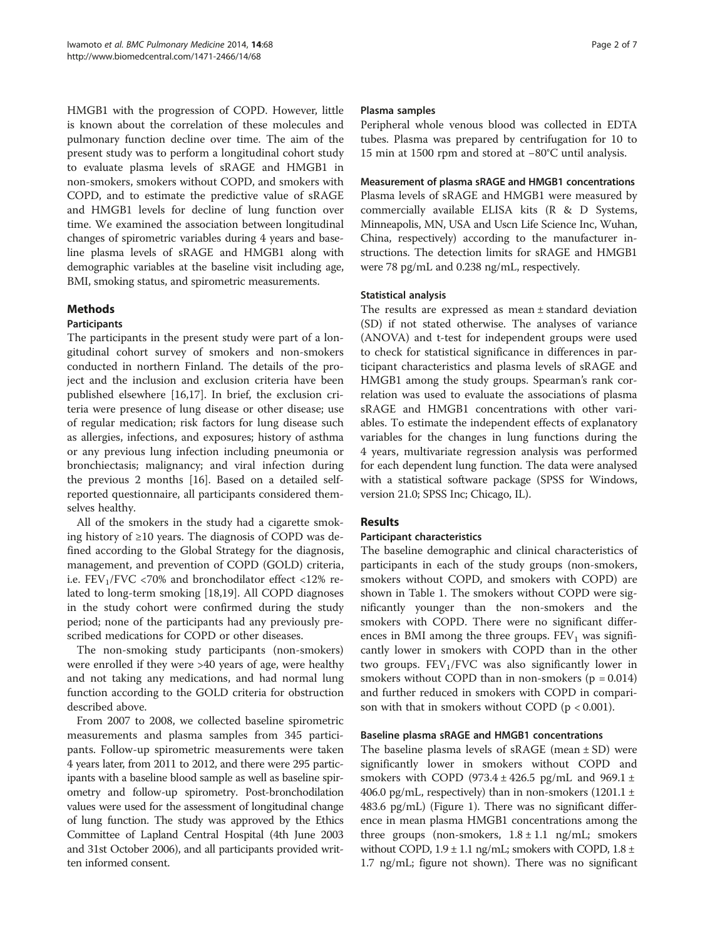HMGB1 with the progression of COPD. However, little is known about the correlation of these molecules and pulmonary function decline over time. The aim of the present study was to perform a longitudinal cohort study to evaluate plasma levels of sRAGE and HMGB1 in non-smokers, smokers without COPD, and smokers with COPD, and to estimate the predictive value of sRAGE and HMGB1 levels for decline of lung function over time. We examined the association between longitudinal changes of spirometric variables during 4 years and baseline plasma levels of sRAGE and HMGB1 along with demographic variables at the baseline visit including age, BMI, smoking status, and spirometric measurements.

## Methods

## Participants

The participants in the present study were part of a longitudinal cohort survey of smokers and non-smokers conducted in northern Finland. The details of the project and the inclusion and exclusion criteria have been published elsewhere [[16](#page-6-0),[17](#page-6-0)]. In brief, the exclusion criteria were presence of lung disease or other disease; use of regular medication; risk factors for lung disease such as allergies, infections, and exposures; history of asthma or any previous lung infection including pneumonia or bronchiectasis; malignancy; and viral infection during the previous 2 months [[16\]](#page-6-0). Based on a detailed selfreported questionnaire, all participants considered themselves healthy.

All of the smokers in the study had a cigarette smoking history of ≥10 years. The diagnosis of COPD was defined according to the Global Strategy for the diagnosis, management, and prevention of COPD (GOLD) criteria, i.e.  $FEV<sub>1</sub>/FVC$  <70% and bronchodilator effect <12% related to long-term smoking [[18,19\]](#page-6-0). All COPD diagnoses in the study cohort were confirmed during the study period; none of the participants had any previously prescribed medications for COPD or other diseases.

The non-smoking study participants (non-smokers) were enrolled if they were >40 years of age, were healthy and not taking any medications, and had normal lung function according to the GOLD criteria for obstruction described above.

From 2007 to 2008, we collected baseline spirometric measurements and plasma samples from 345 participants. Follow-up spirometric measurements were taken 4 years later, from 2011 to 2012, and there were 295 participants with a baseline blood sample as well as baseline spirometry and follow-up spirometry. Post-bronchodilation values were used for the assessment of longitudinal change of lung function. The study was approved by the Ethics Committee of Lapland Central Hospital (4th June 2003 and 31st October 2006), and all participants provided written informed consent.

#### Plasma samples

Peripheral whole venous blood was collected in EDTA tubes. Plasma was prepared by centrifugation for 10 to 15 min at 1500 rpm and stored at −80°C until analysis.

## Measurement of plasma sRAGE and HMGB1 concentrations

Plasma levels of sRAGE and HMGB1 were measured by commercially available ELISA kits (R & D Systems, Minneapolis, MN, USA and Uscn Life Science Inc, Wuhan, China, respectively) according to the manufacturer instructions. The detection limits for sRAGE and HMGB1 were 78 pg/mL and 0.238 ng/mL, respectively.

## Statistical analysis

The results are expressed as mean ± standard deviation (SD) if not stated otherwise. The analyses of variance (ANOVA) and t-test for independent groups were used to check for statistical significance in differences in participant characteristics and plasma levels of sRAGE and HMGB1 among the study groups. Spearman's rank correlation was used to evaluate the associations of plasma sRAGE and HMGB1 concentrations with other variables. To estimate the independent effects of explanatory variables for the changes in lung functions during the 4 years, multivariate regression analysis was performed for each dependent lung function. The data were analysed with a statistical software package (SPSS for Windows, version 21.0; SPSS Inc; Chicago, IL).

## Results

## Participant characteristics

The baseline demographic and clinical characteristics of participants in each of the study groups (non-smokers, smokers without COPD, and smokers with COPD) are shown in Table [1](#page-2-0). The smokers without COPD were significantly younger than the non-smokers and the smokers with COPD. There were no significant differences in BMI among the three groups.  $FEV<sub>1</sub>$  was significantly lower in smokers with COPD than in the other two groups.  $FEV_1/FVC$  was also significantly lower in smokers without COPD than in non-smokers  $(p = 0.014)$ and further reduced in smokers with COPD in comparison with that in smokers without COPD ( $p < 0.001$ ).

## Baseline plasma sRAGE and HMGB1 concentrations

The baseline plasma levels of  $sRAGE$  (mean  $\pm SD$ ) were significantly lower in smokers without COPD and smokers with COPD (973.4  $\pm$  426.5 pg/mL and 969.1  $\pm$ 406.0 pg/mL, respectively) than in non-smokers (1201.1  $\pm$ 483.6 pg/mL) (Figure [1](#page-3-0)). There was no significant difference in mean plasma HMGB1 concentrations among the three groups (non-smokers,  $1.8 \pm 1.1$  ng/mL; smokers without COPD,  $1.9 \pm 1.1$  ng/mL; smokers with COPD,  $1.8 \pm$ 1.7 ng/mL; figure not shown). There was no significant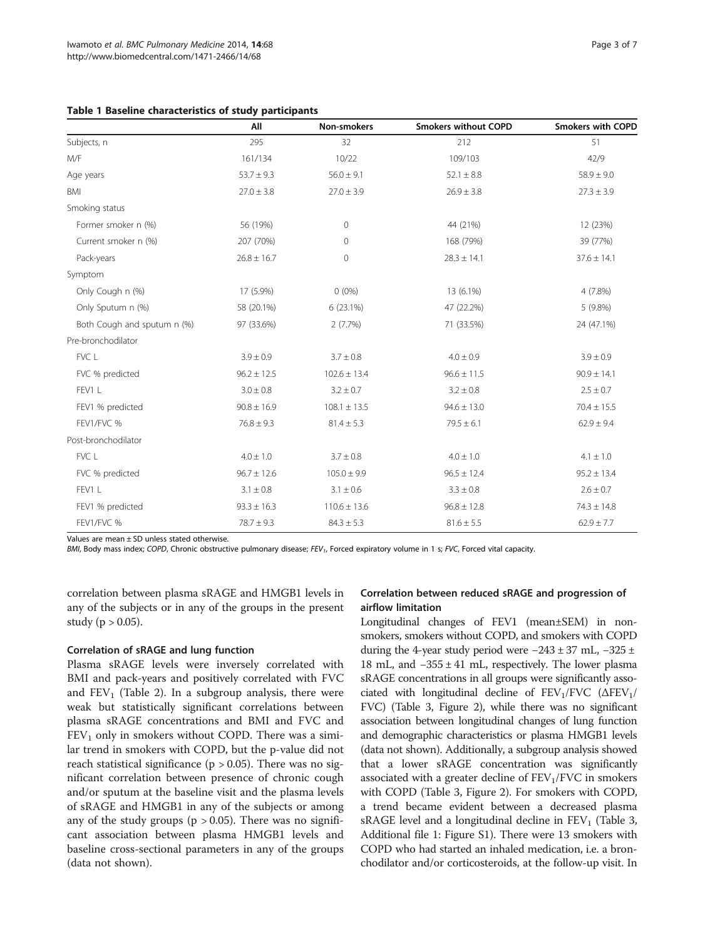<span id="page-2-0"></span>

|  |  |  | Table 1 Baseline characteristics of study participants |  |  |  |
|--|--|--|--------------------------------------------------------|--|--|--|
|--|--|--|--------------------------------------------------------|--|--|--|

|                             | All             | Non-smokers      | <b>Smokers without COPD</b> | Smokers with COPD |
|-----------------------------|-----------------|------------------|-----------------------------|-------------------|
| Subjects, n                 | 295             | 32               | 212                         | 51                |
| M/F                         | 161/134         | 10/22            | 109/103                     | 42/9              |
| Age years                   | $53.7 \pm 9.3$  | $56.0 \pm 9.1$   | $52.1 \pm 8.8$              | $58.9 \pm 9.0$    |
| <b>BMI</b>                  | $27.0 \pm 3.8$  | $27.0 \pm 3.9$   | $26.9 \pm 3.8$              | $27.3 \pm 3.9$    |
| Smoking status              |                 |                  |                             |                   |
| Former smoker n (%)         | 56 (19%)        | $\overline{0}$   | 44 (21%)                    | 12 (23%)          |
| Current smoker n (%)        | 207 (70%)       | $\mathbf{0}$     | 168 (79%)                   | 39 (77%)          |
| Pack-years                  | $26.8 \pm 16.7$ | $\mathbf 0$      | $28.3 \pm 14.1$             | $37.6 \pm 14.1$   |
| Symptom                     |                 |                  |                             |                   |
| Only Cough n (%)            | 17 (5.9%)       | $0(0\%)$         | 13 (6.1%)                   | $4(7.8\%)$        |
| Only Sputum n (%)           | 58 (20.1%)      | 6(23.1%)         | 47 (22.2%)                  | $5(9.8\%)$        |
| Both Cough and sputum n (%) | 97 (33.6%)      | 2(7.7%)          | 71 (33.5%)                  | 24 (47.1%)        |
| Pre-bronchodilator          |                 |                  |                             |                   |
| FVC L                       | $3.9 \pm 0.9$   | $3.7 \pm 0.8$    | $4.0 \pm 0.9$               | $3.9 \pm 0.9$     |
| FVC % predicted             | $96.2 \pm 12.5$ | $102.6 \pm 13.4$ | $96.6 \pm 11.5$             | $90.9 \pm 14.1$   |
| FEV1 L                      | $3.0 \pm 0.8$   | $3.2 \pm 0.7$    | $3.2 \pm 0.8$               | $2.5 \pm 0.7$     |
| FEV1 % predicted            | $90.8 \pm 16.9$ | $108.1 \pm 13.5$ | $94.6 \pm 13.0$             | $70.4 \pm 15.5$   |
| FEV1/FVC %                  | $76.8 \pm 9.3$  | $81.4 \pm 5.3$   | $79.5 \pm 6.1$              | $62.9 \pm 9.4$    |
| Post-bronchodilator         |                 |                  |                             |                   |
| FVC L                       | $4.0 \pm 1.0$   | $3.7 \pm 0.8$    | $4.0 \pm 1.0$               | $4.1 \pm 1.0$     |
| FVC % predicted             | $96.7 \pm 12.6$ | $105.0 \pm 9.9$  | $96.5 \pm 12.4$             | $95.2 \pm 13.4$   |
| FEV1L                       | $3.1 \pm 0.8$   | $3.1 \pm 0.6$    | $3.3 \pm 0.8$               | $2.6 \pm 0.7$     |
| FEV1 % predicted            | $93.3 \pm 16.3$ | $110.6 \pm 13.6$ | $96.8 \pm 12.8$             | $74.3 \pm 14.8$   |
| FEV1/FVC %                  | $78.7 \pm 9.3$  | $84.3 \pm 5.3$   | $81.6 \pm 5.5$              | $62.9 \pm 7.7$    |

Values are mean ± SD unless stated otherwise.

 $BM$ , Body mass index; COPD, Chronic obstructive pulmonary disease;  $FEV_1$ , Forced expiratory volume in 1 s; FVC, Forced vital capacity.

correlation between plasma sRAGE and HMGB1 levels in any of the subjects or in any of the groups in the present study ( $p > 0.05$ ).

#### Correlation of sRAGE and lung function

Plasma sRAGE levels were inversely correlated with BMI and pack-years and positively correlated with FVC and  $FEV<sub>1</sub>$  (Table [2](#page-3-0)). In a subgroup analysis, there were weak but statistically significant correlations between plasma sRAGE concentrations and BMI and FVC and  $FEV<sub>1</sub>$  only in smokers without COPD. There was a similar trend in smokers with COPD, but the p-value did not reach statistical significance ( $p > 0.05$ ). There was no significant correlation between presence of chronic cough and/or sputum at the baseline visit and the plasma levels of sRAGE and HMGB1 in any of the subjects or among any of the study groups ( $p > 0.05$ ). There was no significant association between plasma HMGB1 levels and baseline cross-sectional parameters in any of the groups (data not shown).

## Correlation between reduced sRAGE and progression of airflow limitation

Longitudinal changes of FEV1 (mean±SEM) in nonsmokers, smokers without COPD, and smokers with COPD during the 4-year study period were −243 ± 37 mL, −325 ± 18 mL, and −355 ± 41 mL, respectively. The lower plasma sRAGE concentrations in all groups were significantly associated with longitudinal decline of  $FEV_1/FVC$  ( $\Delta FEV_1/$ FVC) (Table [3](#page-4-0), Figure [2\)](#page-4-0), while there was no significant association between longitudinal changes of lung function and demographic characteristics or plasma HMGB1 levels (data not shown). Additionally, a subgroup analysis showed that a lower sRAGE concentration was significantly associated with a greater decline of  $FEV<sub>1</sub>/FVC$  in smokers with COPD (Table [3](#page-4-0), Figure [2](#page-4-0)). For smokers with COPD, a trend became evident between a decreased plasma sRAGE level and a longitudinal decline in  $FEV<sub>1</sub>$  (Table [3](#page-4-0), Additional file [1](#page-5-0): Figure S1). There were 13 smokers with COPD who had started an inhaled medication, i.e. a bronchodilator and/or corticosteroids, at the follow-up visit. In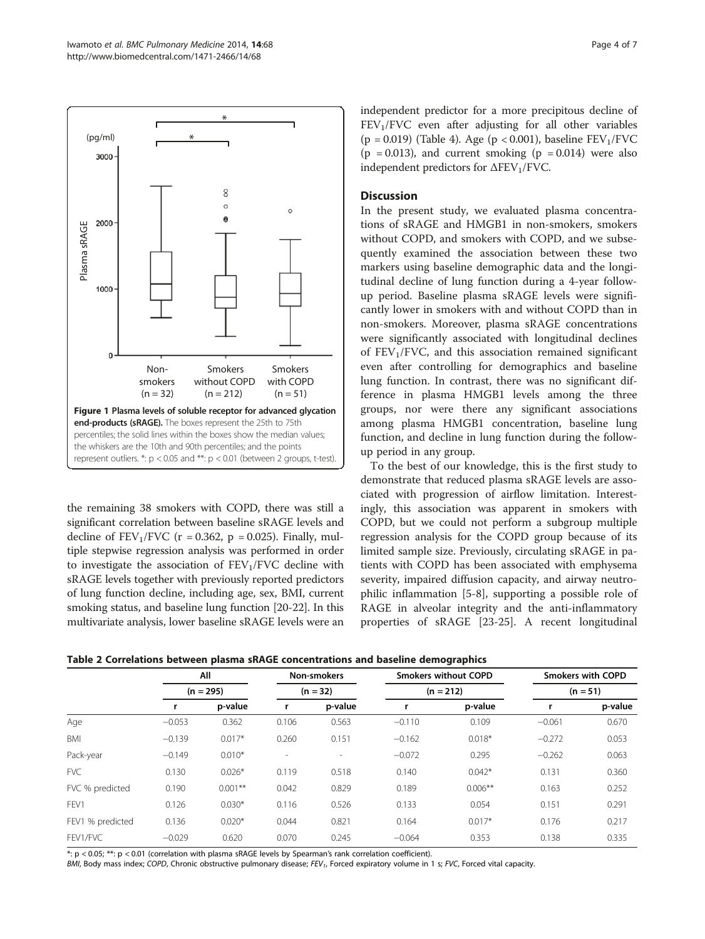<span id="page-3-0"></span>

the remaining 38 smokers with COPD, there was still a significant correlation between baseline sRAGE levels and decline of  $FEV_1/FVC$  (r = 0.362, p = 0.025). Finally, multiple stepwise regression analysis was performed in order to investigate the association of  $FEV<sub>1</sub>/FVC$  decline with sRAGE levels together with previously reported predictors of lung function decline, including age, sex, BMI, current smoking status, and baseline lung function [\[20-22\]](#page-6-0). In this multivariate analysis, lower baseline sRAGE levels were an independent predictor for a more precipitous decline of  $FEV<sub>1</sub>/FVC$  even after adjusting for all other variables (p = 0.019) (Table [4](#page-5-0)). Age (p < 0.001), baseline  $FEV<sub>1</sub>/FVC$  $(p = 0.013)$ , and current smoking  $(p = 0.014)$  were also independent predictors for  $\Delta$ FEV<sub>1</sub>/FVC.

## **Discussion**

In the present study, we evaluated plasma concentrations of sRAGE and HMGB1 in non-smokers, smokers without COPD, and smokers with COPD, and we subsequently examined the association between these two markers using baseline demographic data and the longitudinal decline of lung function during a 4-year followup period. Baseline plasma sRAGE levels were significantly lower in smokers with and without COPD than in non-smokers. Moreover, plasma sRAGE concentrations were significantly associated with longitudinal declines of  $FEV<sub>1</sub>/FVC$ , and this association remained significant even after controlling for demographics and baseline lung function. In contrast, there was no significant difference in plasma HMGB1 levels among the three groups, nor were there any significant associations among plasma HMGB1 concentration, baseline lung function, and decline in lung function during the followup period in any group.

To the best of our knowledge, this is the first study to demonstrate that reduced plasma sRAGE levels are associated with progression of airflow limitation. Interestingly, this association was apparent in smokers with COPD, but we could not perform a subgroup multiple regression analysis for the COPD group because of its limited sample size. Previously, circulating sRAGE in patients with COPD has been associated with emphysema severity, impaired diffusion capacity, and airway neutrophilic inflammation [[5-8](#page-6-0)], supporting a possible role of RAGE in alveolar integrity and the anti-inflammatory properties of sRAGE [[23-25\]](#page-6-0). A recent longitudinal

|                  | All<br>$(n = 295)$ |            | Non-smokers<br>$(n = 32)$ |                          | <b>Smokers without COPD</b><br>$(n = 212)$ |           | <b>Smokers with COPD</b><br>$(n = 51)$ |         |
|------------------|--------------------|------------|---------------------------|--------------------------|--------------------------------------------|-----------|----------------------------------------|---------|
|                  |                    |            |                           |                          |                                            |           |                                        |         |
|                  |                    | p-value    |                           | p-value                  |                                            | p-value   |                                        | p-value |
| Age              | $-0.053$           | 0.362      | 0.106                     | 0.563                    | $-0.110$                                   | 0.109     | $-0.061$                               | 0.670   |
| <b>BMI</b>       | $-0.139$           | $0.017*$   | 0.260                     | 0.151                    | $-0.162$                                   | $0.018*$  | $-0.272$                               | 0.053   |
| Pack-year        | $-0.149$           | $0.010*$   | $\overline{\phantom{a}}$  | $\overline{\phantom{a}}$ | $-0.072$                                   | 0.295     | $-0.262$                               | 0.063   |
| <b>FVC</b>       | 0.130              | $0.026*$   | 0.119                     | 0.518                    | 0.140                                      | $0.042*$  | 0.131                                  | 0.360   |
| FVC % predicted  | 0.190              | $0.001***$ | 0.042                     | 0.829                    | 0.189                                      | $0.006**$ | 0.163                                  | 0.252   |
| FFV1             | 0.126              | $0.030*$   | 0.116                     | 0.526                    | 0.133                                      | 0.054     | 0.151                                  | 0.291   |
| FEV1 % predicted | 0.136              | $0.020*$   | 0.044                     | 0.821                    | 0.164                                      | $0.017*$  | 0.176                                  | 0.217   |
| FEV1/FVC         | $-0.029$           | 0.620      | 0.070                     | 0.245                    | $-0.064$                                   | 0.353     | 0.138                                  | 0.335   |

\*: p < 0.05; \*\*: p < 0.01 (correlation with plasma sRAGE levels by Spearman's rank correlation coefficient).

BMI, Body mass index; COPD, Chronic obstructive pulmonary disease; FEV<sub>1</sub>, Forced expiratory volume in 1 s; FVC, Forced vital capacity.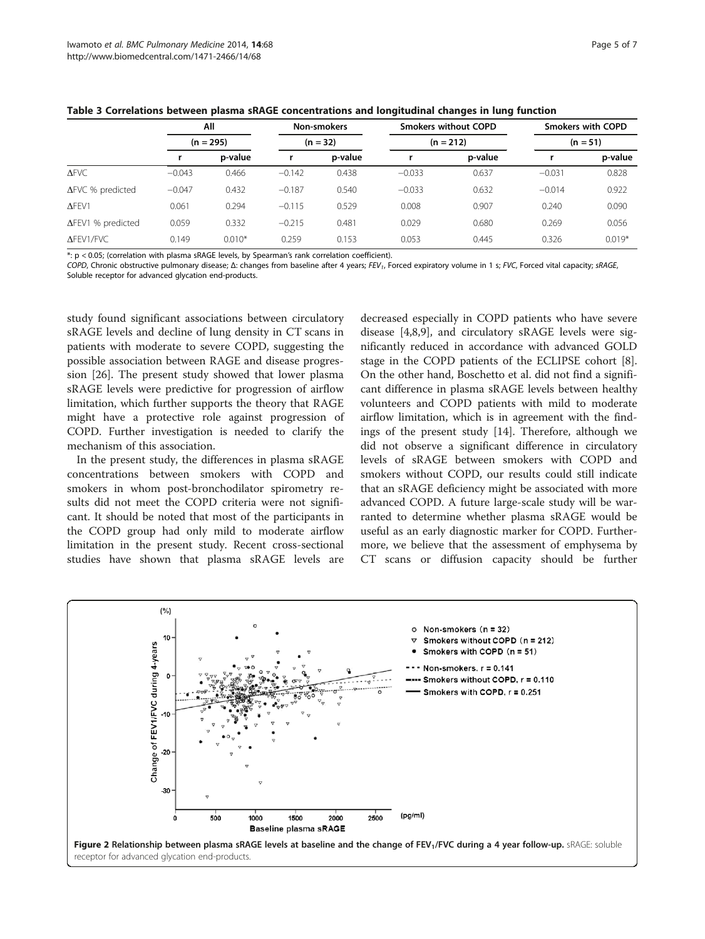<span id="page-4-0"></span>

| Table 3 Correlations between plasma sRAGE concentrations and longitudinal changes in lung function |  |
|----------------------------------------------------------------------------------------------------|--|
|----------------------------------------------------------------------------------------------------|--|

|                           | All<br>$(n = 295)$ |          | Non-smokers<br>$(n = 32)$ |         | <b>Smokers without COPD</b><br>$(n = 212)$ |         | <b>Smokers with COPD</b><br>$(n = 51)$ |          |
|---------------------------|--------------------|----------|---------------------------|---------|--------------------------------------------|---------|----------------------------------------|----------|
|                           |                    |          |                           |         |                                            |         |                                        |          |
|                           |                    | p-value  |                           | p-value |                                            | p-value |                                        | p-value  |
| $\Delta$ FVC              | $-0.043$           | 0.466    | $-0.142$                  | 0.438   | $-0.033$                                   | 0.637   | $-0.031$                               | 0.828    |
| $\Delta$ FVC % predicted  | $-0.047$           | 0.432    | $-0.187$                  | 0.540   | $-0.033$                                   | 0.632   | $-0.014$                               | 0.922    |
| $\Delta$ FEV1             | 0.061              | 0.294    | $-0.115$                  | 0.529   | 0.008                                      | 0.907   | 0.240                                  | 0.090    |
| $\Delta$ FEV1 % predicted | 0.059              | 0.332    | $-0.215$                  | 0.481   | 0.029                                      | 0.680   | 0.269                                  | 0.056    |
| <b>AFEV1/FVC</b>          | 0.149              | $0.010*$ | 0.259                     | 0.153   | 0.053                                      | 0.445   | 0.326                                  | $0.019*$ |

\*: p < 0.05; (correlation with plasma sRAGE levels, by Spearman's rank correlation coefficient).

COPD, Chronic obstructive pulmonary disease; Δ: changes from baseline after 4 years; FEV<sub>1</sub>, Forced expiratory volume in 1 s; FVC, Forced vital capacity; sRAGE, Soluble receptor for advanced glycation end-products.

study found significant associations between circulatory sRAGE levels and decline of lung density in CT scans in patients with moderate to severe COPD, suggesting the possible association between RAGE and disease progression [[26\]](#page-6-0). The present study showed that lower plasma sRAGE levels were predictive for progression of airflow limitation, which further supports the theory that RAGE might have a protective role against progression of COPD. Further investigation is needed to clarify the mechanism of this association.

In the present study, the differences in plasma sRAGE concentrations between smokers with COPD and smokers in whom post-bronchodilator spirometry results did not meet the COPD criteria were not significant. It should be noted that most of the participants in the COPD group had only mild to moderate airflow limitation in the present study. Recent cross-sectional studies have shown that plasma sRAGE levels are decreased especially in COPD patients who have severe disease [\[4,8,9](#page-6-0)], and circulatory sRAGE levels were significantly reduced in accordance with advanced GOLD stage in the COPD patients of the ECLIPSE cohort [\[8](#page-6-0)]. On the other hand, Boschetto et al. did not find a significant difference in plasma sRAGE levels between healthy volunteers and COPD patients with mild to moderate airflow limitation, which is in agreement with the findings of the present study [\[14\]](#page-6-0). Therefore, although we did not observe a significant difference in circulatory levels of sRAGE between smokers with COPD and smokers without COPD, our results could still indicate that an sRAGE deficiency might be associated with more advanced COPD. A future large-scale study will be warranted to determine whether plasma sRAGE would be useful as an early diagnostic marker for COPD. Furthermore, we believe that the assessment of emphysema by CT scans or diffusion capacity should be further

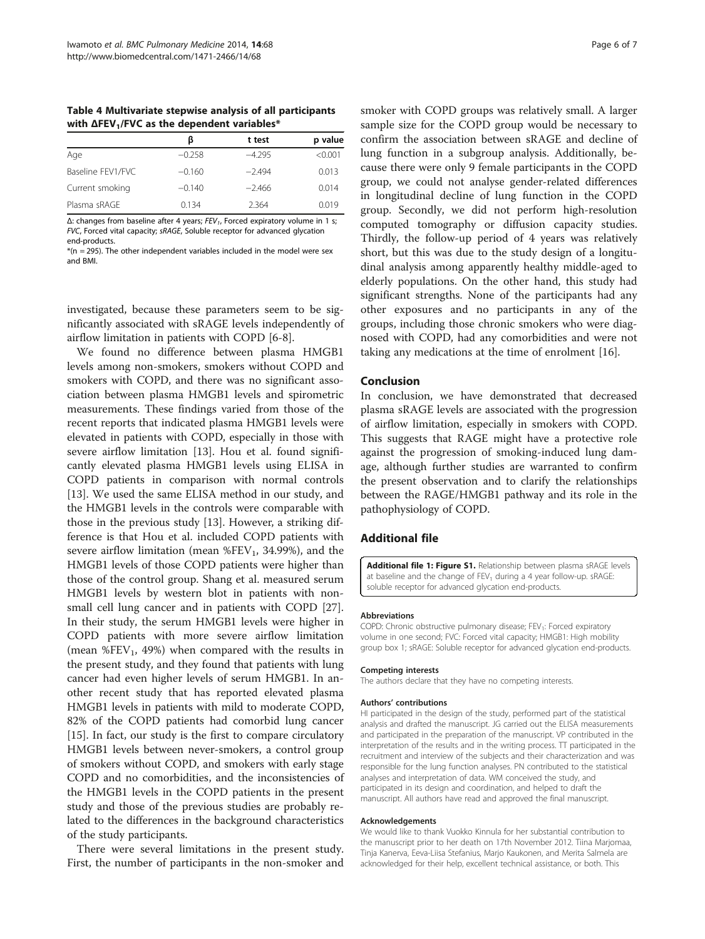<span id="page-5-0"></span>Table 4 Multivariate stepwise analysis of all participants with  $ΔFEV<sub>1</sub>/FVC$  as the dependent variables\*

| ß        | t test   | p value |
|----------|----------|---------|
| $-0.258$ | $-4.295$ | < 0.001 |
| $-0.160$ | $-2.494$ | 0.013   |
| $-0.140$ | $-2.466$ | 0.014   |
| 0.134    | 2.364    | 0.019   |
|          |          |         |

 $Δ$ : changes from baseline after 4 years;  $FEV_1$ , Forced expiratory volume in 1 s; FVC, Forced vital capacity; sRAGE, Soluble receptor for advanced glycation end-products.

 $*(n = 295)$ . The other independent variables included in the model were sex and BMI.

investigated, because these parameters seem to be significantly associated with sRAGE levels independently of airflow limitation in patients with COPD [\[6](#page-6-0)-[8\]](#page-6-0).

We found no difference between plasma HMGB1 levels among non-smokers, smokers without COPD and smokers with COPD, and there was no significant association between plasma HMGB1 levels and spirometric measurements. These findings varied from those of the recent reports that indicated plasma HMGB1 levels were elevated in patients with COPD, especially in those with severe airflow limitation [\[13](#page-6-0)]. Hou et al. found significantly elevated plasma HMGB1 levels using ELISA in COPD patients in comparison with normal controls [[13\]](#page-6-0). We used the same ELISA method in our study, and the HMGB1 levels in the controls were comparable with those in the previous study [\[13\]](#page-6-0). However, a striking difference is that Hou et al. included COPD patients with severe airflow limitation (mean  $%$ FEV<sub>1</sub>, 34.99%), and the HMGB1 levels of those COPD patients were higher than those of the control group. Shang et al. measured serum HMGB1 levels by western blot in patients with nonsmall cell lung cancer and in patients with COPD [\[27](#page-6-0)]. In their study, the serum HMGB1 levels were higher in COPD patients with more severe airflow limitation (mean  $%FEV<sub>1</sub>$ , 49%) when compared with the results in the present study, and they found that patients with lung cancer had even higher levels of serum HMGB1. In another recent study that has reported elevated plasma HMGB1 levels in patients with mild to moderate COPD, 82% of the COPD patients had comorbid lung cancer [[15\]](#page-6-0). In fact, our study is the first to compare circulatory HMGB1 levels between never-smokers, a control group of smokers without COPD, and smokers with early stage COPD and no comorbidities, and the inconsistencies of the HMGB1 levels in the COPD patients in the present study and those of the previous studies are probably related to the differences in the background characteristics of the study participants.

There were several limitations in the present study. First, the number of participants in the non-smoker and

smoker with COPD groups was relatively small. A larger sample size for the COPD group would be necessary to confirm the association between sRAGE and decline of lung function in a subgroup analysis. Additionally, because there were only 9 female participants in the COPD group, we could not analyse gender-related differences in longitudinal decline of lung function in the COPD group. Secondly, we did not perform high-resolution computed tomography or diffusion capacity studies. Thirdly, the follow-up period of 4 years was relatively short, but this was due to the study design of a longitudinal analysis among apparently healthy middle-aged to elderly populations. On the other hand, this study had significant strengths. None of the participants had any other exposures and no participants in any of the groups, including those chronic smokers who were diagnosed with COPD, had any comorbidities and were not taking any medications at the time of enrolment [\[16\]](#page-6-0).

#### Conclusion

In conclusion, we have demonstrated that decreased plasma sRAGE levels are associated with the progression of airflow limitation, especially in smokers with COPD. This suggests that RAGE might have a protective role against the progression of smoking-induced lung damage, although further studies are warranted to confirm the present observation and to clarify the relationships between the RAGE/HMGB1 pathway and its role in the pathophysiology of COPD.

#### Additional file

[Additional file 1: Figure S1.](http://www.biomedcentral.com/content/supplementary/1471-2466-14-68-S1.pdf) Relationship between plasma sRAGE levels at baseline and the change of  $FEV<sub>1</sub>$  during a 4 year follow-up. sRAGE: soluble receptor for advanced glycation end-products.

#### Abbreviations

COPD: Chronic obstructive pulmonary disease; FEV<sub>1</sub>: Forced expiratory volume in one second; FVC: Forced vital capacity; HMGB1: High mobility group box 1; sRAGE: Soluble receptor for advanced glycation end-products.

#### Competing interests

The authors declare that they have no competing interests.

#### Authors' contributions

HI participated in the design of the study, performed part of the statistical analysis and drafted the manuscript. JG carried out the ELISA measurements and participated in the preparation of the manuscript. VP contributed in the interpretation of the results and in the writing process. TT participated in the recruitment and interview of the subjects and their characterization and was responsible for the lung function analyses. PN contributed to the statistical analyses and interpretation of data. WM conceived the study, and participated in its design and coordination, and helped to draft the manuscript. All authors have read and approved the final manuscript.

#### Acknowledgements

We would like to thank Vuokko Kinnula for her substantial contribution to the manuscript prior to her death on 17th November 2012. Tiina Marjomaa, Tinja Kanerva, Eeva-Liisa Stefanius, Marjo Kaukonen, and Merita Salmela are acknowledged for their help, excellent technical assistance, or both. This